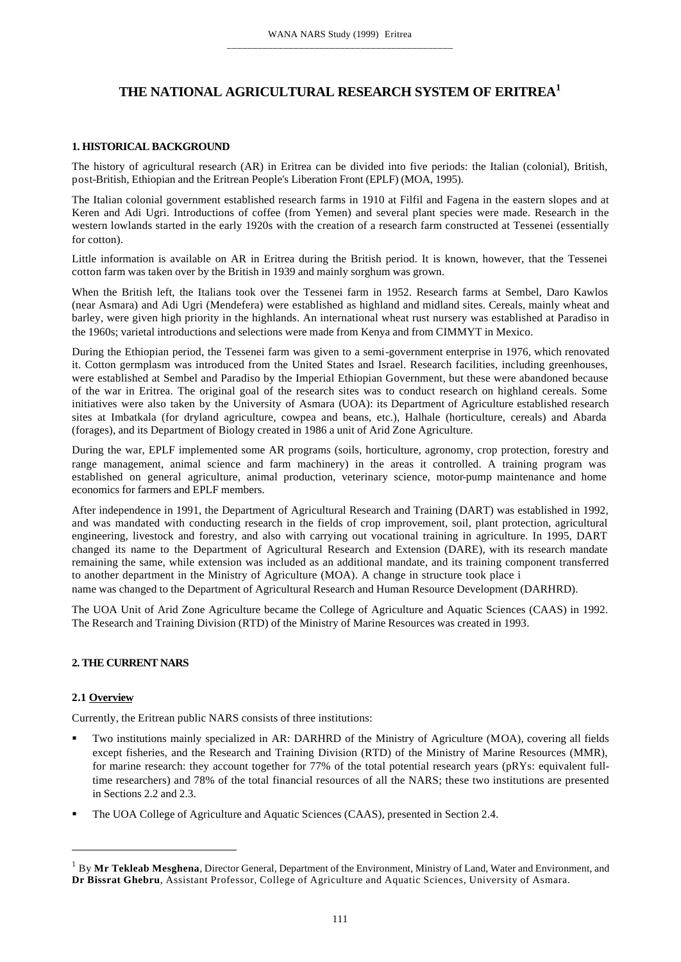# **THE NATIONAL AGRICULTURAL RESEARCH SYSTEM OF ERITREA<sup>1</sup>**

## **1. HISTORICAL BACKGROUND**

The history of agricultural research (AR) in Eritrea can be divided into five periods: the Italian (colonial), British, post-British, Ethiopian and the Eritrean People's Liberation Front (EPLF) (MOA, 1995).

The Italian colonial government established research farms in 1910 at Filfil and Fagena in the eastern slopes and at Keren and Adi Ugri. Introductions of coffee (from Yemen) and several plant species were made. Research in the western lowlands started in the early 1920s with the creation of a research farm constructed at Tessenei (essentially for cotton).

Little information is available on AR in Eritrea during the British period. It is known, however, that the Tessenei cotton farm was taken over by the British in 1939 and mainly sorghum was grown.

When the British left, the Italians took over the Tessenei farm in 1952. Research farms at Sembel, Daro Kawlos (near Asmara) and Adi Ugri (Mendefera) were established as highland and midland sites. Cereals, mainly wheat and barley, were given high priority in the highlands. An international wheat rust nursery was established at Paradiso in the 1960s; varietal introductions and selections were made from Kenya and from CIMMYT in Mexico.

During the Ethiopian period, the Tessenei farm was given to a semi-government enterprise in 1976, which renovated it. Cotton germplasm was introduced from the United States and Israel. Research facilities, including greenhouses, were established at Sembel and Paradiso by the Imperial Ethiopian Government, but these were abandoned because of the war in Eritrea. The original goal of the research sites was to conduct research on highland cereals. Some initiatives were also taken by the University of Asmara (UOA): its Department of Agriculture established research sites at Imbatkala (for dryland agriculture, cowpea and beans, etc.), Halhale (horticulture, cereals) and Abarda (forages), and its Department of Biology created in 1986 a unit of Arid Zone Agriculture.

During the war, EPLF implemented some AR programs (soils, horticulture, agronomy, crop protection, forestry and range management, animal science and farm machinery) in the areas it controlled. A training program was established on general agriculture, animal production, veterinary science, motor-pump maintenance and home economics for farmers and EPLF members.

After independence in 1991, the Department of Agricultural Research and Training (DART) was established in 1992, and was mandated with conducting research in the fields of crop improvement, soil, plant protection, agricultural engineering, livestock and forestry, and also with carrying out vocational training in agriculture. In 1995, DART changed its name to the Department of Agricultural Research and Extension (DARE), with its research mandate remaining the same, while extension was included as an additional mandate, and its training component transferred to another department in the Ministry of Agriculture (MOA). A change in structure took place i name was changed to the Department of Agricultural Research and Human Resource Development (DARHRD).

The UOA Unit of Arid Zone Agriculture became the College of Agriculture and Aquatic Sciences (CAAS) in 1992. The Research and Training Division (RTD) of the Ministry of Marine Resources was created in 1993.

# **2. THE CURRENT NARS**

# **2.1 Overview**

Currently, the Eritrean public NARS consists of three institutions:

- ß Two institutions mainly specialized in AR: DARHRD of the Ministry of Agriculture (MOA), covering all fields except fisheries, and the Research and Training Division (RTD) of the Ministry of Marine Resources (MMR), for marine research: they account together for 77% of the total potential research years (pRYs: equivalent fulltime researchers) and 78% of the total financial resources of all the NARS; these two institutions are presented in Sections 2.2 and 2.3.
- ß The UOA College of Agriculture and Aquatic Sciences (CAAS), presented in Section 2.4.

<sup>1</sup> By **Mr Tekleab Mesghena**, Director General, Department of the Environment, Ministry of Land, Water and Environment, and **Dr Bissrat Ghebru**, Assistant Professor, College of Agriculture and Aquatic Sciences, University of Asmara.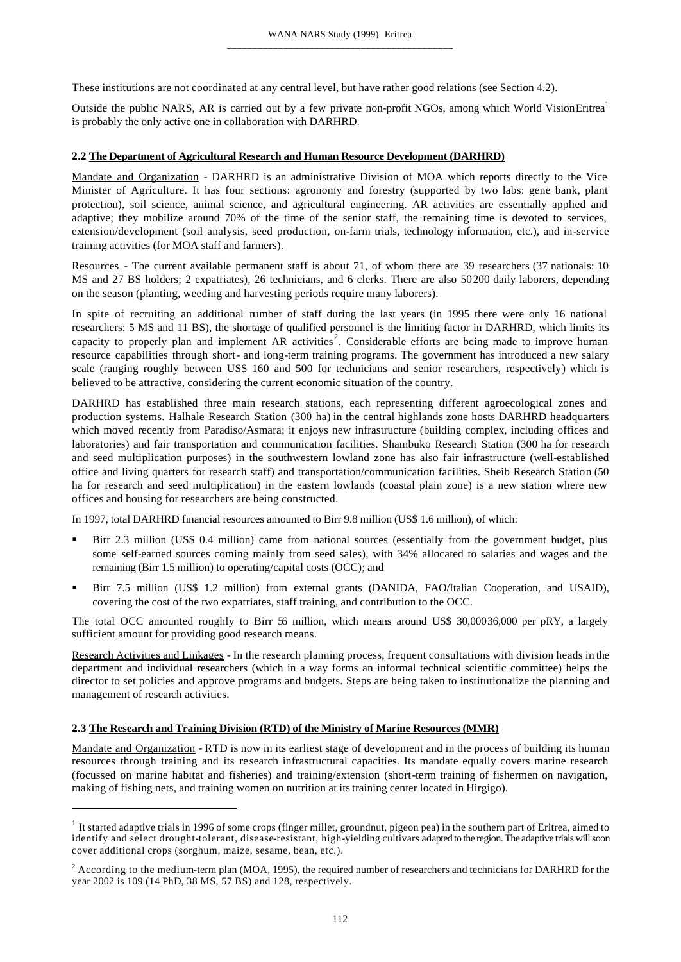These institutions are not coordinated at any central level, but have rather good relations (see Section 4.2).

Outside the public NARS, AR is carried out by a few private non-profit NGOs, among which World VisionEritrea<sup>1</sup> is probably the only active one in collaboration with DARHRD.

# **2.2 The Department of Agricultural Research and Human Resource Development (DARHRD)**

Mandate and Organization - DARHRD is an administrative Division of MOA which reports directly to the Vice Minister of Agriculture. It has four sections: agronomy and forestry (supported by two labs: gene bank, plant protection), soil science, animal science, and agricultural engineering. AR activities are essentially applied and adaptive; they mobilize around 70% of the time of the senior staff, the remaining time is devoted to services, extension/development (soil analysis, seed production, on-farm trials, technology information, etc.), and in-service training activities (for MOA staff and farmers).

Resources - The current available permanent staff is about 71, of whom there are 39 researchers (37 nationals: 10 MS and 27 BS holders; 2 expatriates), 26 technicians, and 6 clerks. There are also 50200 daily laborers, depending on the season (planting, weeding and harvesting periods require many laborers).

In spite of recruiting an additional number of staff during the last years (in 1995 there were only 16 national researchers: 5 MS and 11 BS), the shortage of qualified personnel is the limiting factor in DARHRD, which limits its capacity to properly plan and implement AR activities<sup>2</sup>. Considerable efforts are being made to improve human resource capabilities through short- and long-term training programs. The government has introduced a new salary scale (ranging roughly between US\$ 160 and 500 for technicians and senior researchers, respectively) which is believed to be attractive, considering the current economic situation of the country.

DARHRD has established three main research stations, each representing different agroecological zones and production systems. Halhale Research Station (300 ha) in the central highlands zone hosts DARHRD headquarters which moved recently from Paradiso/Asmara; it enjoys new infrastructure (building complex, including offices and laboratories) and fair transportation and communication facilities. Shambuko Research Station (300 ha for research and seed multiplication purposes) in the southwestern lowland zone has also fair infrastructure (well-established office and living quarters for research staff) and transportation/communication facilities. Sheib Research Station (50 ha for research and seed multiplication) in the eastern lowlands (coastal plain zone) is a new station where new offices and housing for researchers are being constructed.

In 1997, total DARHRD financial resources amounted to Birr 9.8 million (US\$ 1.6 million), of which:

- **Birr 2.3 million (US\$ 0.4 million) came from national sources (essentially from the government budget, plus** some self-earned sources coming mainly from seed sales), with 34% allocated to salaries and wages and the remaining (Birr 1.5 million) to operating/capital costs (OCC); and
- ß Birr 7.5 million (US\$ 1.2 million) from external grants (DANIDA, FAO/Italian Cooperation, and USAID), covering the cost of the two expatriates, staff training, and contribution to the OCC.

The total OCC amounted roughly to Birr 56 million, which means around US\$ 30,00036,000 per pRY, a largely sufficient amount for providing good research means.

Research Activities and Linkages - In the research planning process, frequent consultations with division heads in the department and individual researchers (which in a way forms an informal technical scientific committee) helps the director to set policies and approve programs and budgets. Steps are being taken to institutionalize the planning and management of research activities.

#### **2.3 The Research and Training Division (RTD) of the Ministry of Marine Resources (MMR)**

Mandate and Organization - RTD is now in its earliest stage of development and in the process of building its human resources through training and its research infrastructural capacities. Its mandate equally covers marine research (focussed on marine habitat and fisheries) and training/extension (short-term training of fishermen on navigation, making of fishing nets, and training women on nutrition at its training center located in Hirgigo).

 $1$  It started adaptive trials in 1996 of some crops (finger millet, groundnut, pigeon pea) in the southern part of Eritrea, aimed to identify and select drought-tolerant, disease-resistant, high-yielding cultivars adapted to the region. The adaptive trials will soon cover additional crops (sorghum, maize, sesame, bean, etc.).

<sup>&</sup>lt;sup>2</sup> According to the medium-term plan (MOA, 1995), the required number of researchers and technicians for DARHRD for the year 2002 is 109 (14 PhD, 38 MS, 57 BS) and 128, respectively.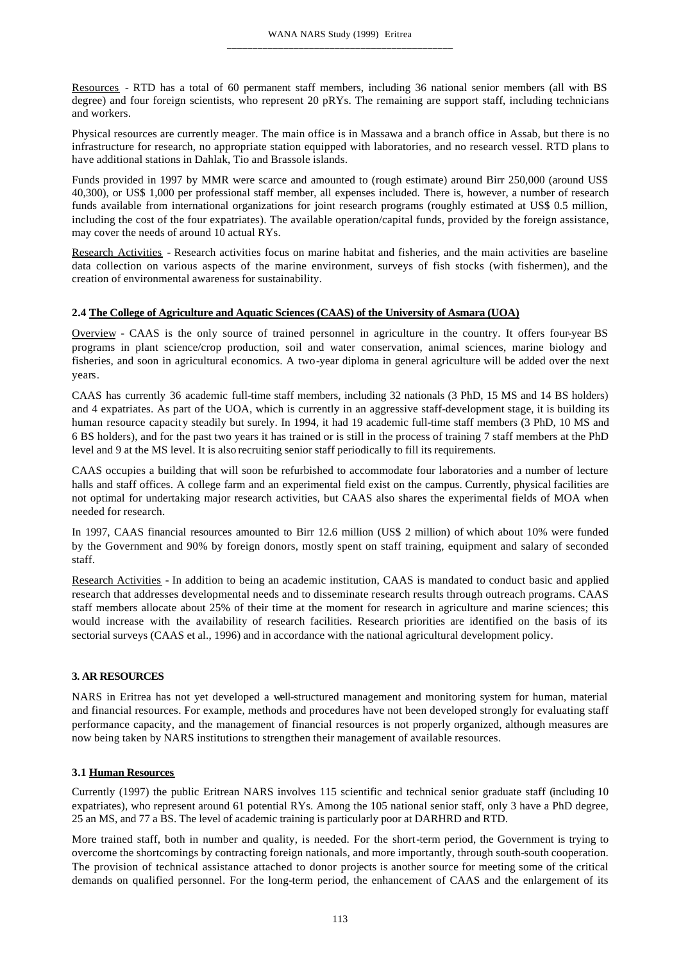Resources - RTD has a total of 60 permanent staff members, including 36 national senior members (all with BS degree) and four foreign scientists, who represent 20 pRYs. The remaining are support staff, including technicians and workers.

Physical resources are currently meager. The main office is in Massawa and a branch office in Assab, but there is no infrastructure for research, no appropriate station equipped with laboratories, and no research vessel. RTD plans to have additional stations in Dahlak, Tio and Brassole islands.

Funds provided in 1997 by MMR were scarce and amounted to (rough estimate) around Birr 250,000 (around US\$ 40,300), or US\$ 1,000 per professional staff member, all expenses included. There is, however, a number of research funds available from international organizations for joint research programs (roughly estimated at US\$ 0.5 million, including the cost of the four expatriates). The available operation/capital funds, provided by the foreign assistance, may cover the needs of around 10 actual RYs.

Research Activities - Research activities focus on marine habitat and fisheries, and the main activities are baseline data collection on various aspects of the marine environment, surveys of fish stocks (with fishermen), and the creation of environmental awareness for sustainability.

# **2.4 The College of Agriculture and Aquatic Sciences (CAAS) of the University of Asmara (UOA)**

Overview - CAAS is the only source of trained personnel in agriculture in the country. It offers four-year BS programs in plant science/crop production, soil and water conservation, animal sciences, marine biology and fisheries, and soon in agricultural economics. A two-year diploma in general agriculture will be added over the next years.

CAAS has currently 36 academic full-time staff members, including 32 nationals (3 PhD, 15 MS and 14 BS holders) and 4 expatriates. As part of the UOA, which is currently in an aggressive staff-development stage, it is building its human resource capacity steadily but surely. In 1994, it had 19 academic full-time staff members (3 PhD, 10 MS and 6 BS holders), and for the past two years it has trained or is still in the process of training 7 staff members at the PhD level and 9 at the MS level. It is also recruiting senior staff periodically to fill its requirements.

CAAS occupies a building that will soon be refurbished to accommodate four laboratories and a number of lecture halls and staff offices. A college farm and an experimental field exist on the campus. Currently, physical facilities are not optimal for undertaking major research activities, but CAAS also shares the experimental fields of MOA when needed for research.

In 1997, CAAS financial resources amounted to Birr 12.6 million (US\$ 2 million) of which about 10% were funded by the Government and 90% by foreign donors, mostly spent on staff training, equipment and salary of seconded staff.

Research Activities - In addition to being an academic institution, CAAS is mandated to conduct basic and applied research that addresses developmental needs and to disseminate research results through outreach programs. CAAS staff members allocate about 25% of their time at the moment for research in agriculture and marine sciences; this would increase with the availability of research facilities. Research priorities are identified on the basis of its sectorial surveys (CAAS et al., 1996) and in accordance with the national agricultural development policy.

# **3. AR RESOURCES**

NARS in Eritrea has not yet developed a well-structured management and monitoring system for human, material and financial resources. For example, methods and procedures have not been developed strongly for evaluating staff performance capacity, and the management of financial resources is not properly organized, although measures are now being taken by NARS institutions to strengthen their management of available resources.

# **3.1 Human Resources**

Currently (1997) the public Eritrean NARS involves 115 scientific and technical senior graduate staff (including 10 expatriates), who represent around 61 potential RYs. Among the 105 national senior staff, only 3 have a PhD degree, 25 an MS, and 77 a BS. The level of academic training is particularly poor at DARHRD and RTD.

More trained staff, both in number and quality, is needed. For the short-term period, the Government is trying to overcome the shortcomings by contracting foreign nationals, and more importantly, through south-south cooperation. The provision of technical assistance attached to donor projects is another source for meeting some of the critical demands on qualified personnel. For the long-term period, the enhancement of CAAS and the enlargement of its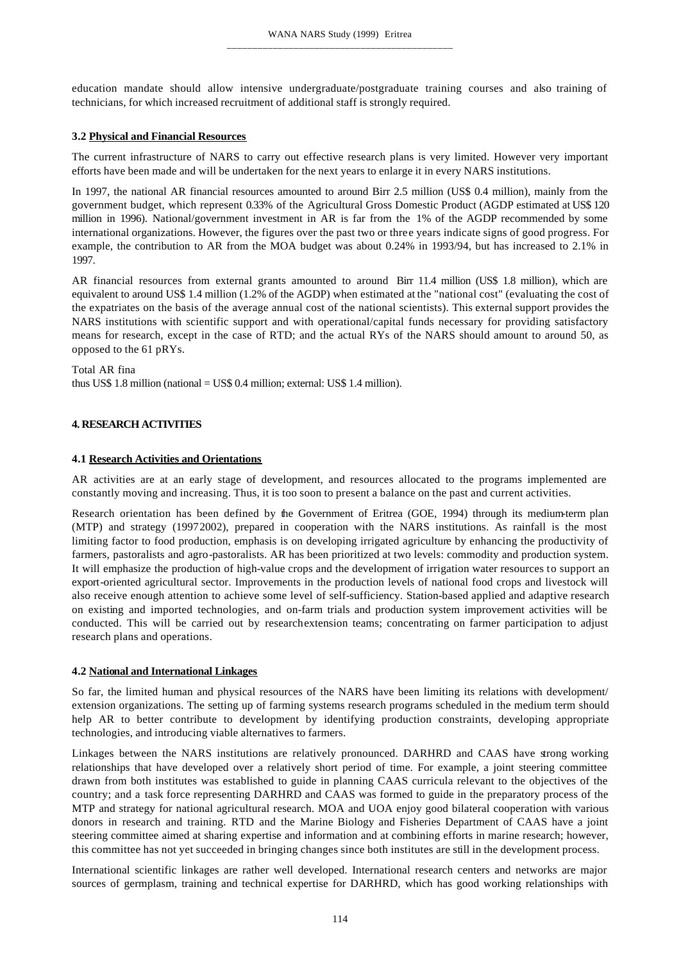education mandate should allow intensive undergraduate/postgraduate training courses and also training of technicians, for which increased recruitment of additional staff is strongly required.

#### **3.2 Physical and Financial Resources**

The current infrastructure of NARS to carry out effective research plans is very limited. However very important efforts have been made and will be undertaken for the next years to enlarge it in every NARS institutions.

In 1997, the national AR financial resources amounted to around Birr 2.5 million (US\$ 0.4 million), mainly from the government budget, which represent 0.33% of the Agricultural Gross Domestic Product (AGDP estimated at US\$ 120 million in 1996). National/government investment in AR is far from the 1% of the AGDP recommended by some international organizations. However, the figures over the past two or three years indicate signs of good progress. For example, the contribution to AR from the MOA budget was about 0.24% in 1993/94, but has increased to 2.1% in 1997.

AR financial resources from external grants amounted to around Birr 11.4 million (US\$ 1.8 million), which are equivalent to around US\$ 1.4 million (1.2% of the AGDP) when estimated at the "national cost" (evaluating the cost of the expatriates on the basis of the average annual cost of the national scientists). This external support provides the NARS institutions with scientific support and with operational/capital funds necessary for providing satisfactory means for research, except in the case of RTD; and the actual RYs of the NARS should amount to around 50, as opposed to the 61 pRYs.

Total AR fina thus US\$ 1.8 million (national = US\$ 0.4 million; external: US\$ 1.4 million).

## **4. RESEARCH ACTIVITIES**

#### **4.1 Research Activities and Orientations**

AR activities are at an early stage of development, and resources allocated to the programs implemented are constantly moving and increasing. Thus, it is too soon to present a balance on the past and current activities.

Research orientation has been defined by the Government of Eritrea (GOE, 1994) through its medium-term plan (MTP) and strategy (19972002), prepared in cooperation with the NARS institutions. As rainfall is the most limiting factor to food production, emphasis is on developing irrigated agriculture by enhancing the productivity of farmers, pastoralists and agro-pastoralists. AR has been prioritized at two levels: commodity and production system. It will emphasize the production of high-value crops and the development of irrigation water resources to support an export-oriented agricultural sector. Improvements in the production levels of national food crops and livestock will also receive enough attention to achieve some level of self-sufficiency. Station-based applied and adaptive research on existing and imported technologies, and on-farm trials and production system improvement activities will be conducted. This will be carried out by researchextension teams; concentrating on farmer participation to adjust research plans and operations.

#### **4.2 National and International Linkages**

So far, the limited human and physical resources of the NARS have been limiting its relations with development/ extension organizations. The setting up of farming systems research programs scheduled in the medium term should help AR to better contribute to development by identifying production constraints, developing appropriate technologies, and introducing viable alternatives to farmers.

Linkages between the NARS institutions are relatively pronounced. DARHRD and CAAS have strong working relationships that have developed over a relatively short period of time. For example, a joint steering committee drawn from both institutes was established to guide in planning CAAS curricula relevant to the objectives of the country; and a task force representing DARHRD and CAAS was formed to guide in the preparatory process of the MTP and strategy for national agricultural research. MOA and UOA enjoy good bilateral cooperation with various donors in research and training. RTD and the Marine Biology and Fisheries Department of CAAS have a joint steering committee aimed at sharing expertise and information and at combining efforts in marine research; however, this committee has not yet succeeded in bringing changes since both institutes are still in the development process.

International scientific linkages are rather well developed. International research centers and networks are major sources of germplasm, training and technical expertise for DARHRD, which has good working relationships with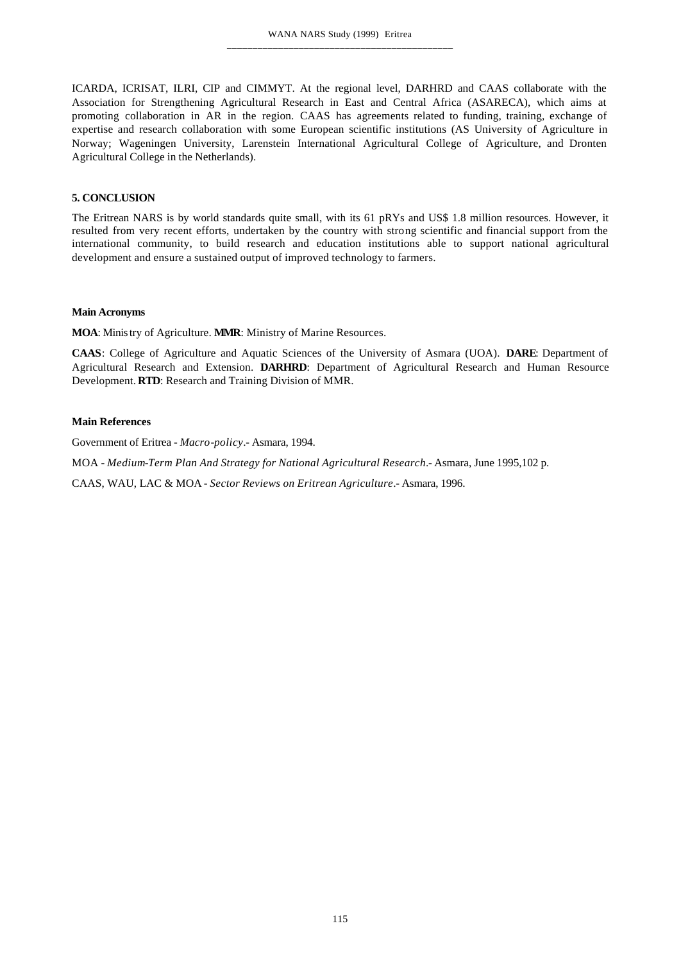ICARDA, ICRISAT, ILRI, CIP and CIMMYT. At the regional level, DARHRD and CAAS collaborate with the Association for Strengthening Agricultural Research in East and Central Africa (ASARECA), which aims at promoting collaboration in AR in the region. CAAS has agreements related to funding, training, exchange of expertise and research collaboration with some European scientific institutions (AS University of Agriculture in Norway; Wageningen University, Larenstein International Agricultural College of Agriculture, and Dronten Agricultural College in the Netherlands).

### **5. CONCLUSION**

The Eritrean NARS is by world standards quite small, with its 61 pRYs and US\$ 1.8 million resources. However, it resulted from very recent efforts, undertaken by the country with strong scientific and financial support from the international community, to build research and education institutions able to support national agricultural development and ensure a sustained output of improved technology to farmers.

#### **Main Acronyms**

**MOA**: Ministry of Agriculture. **MMR**: Ministry of Marine Resources.

**CAAS**: College of Agriculture and Aquatic Sciences of the University of Asmara (UOA). **DARE**: Department of Agricultural Research and Extension. **DARHRD**: Department of Agricultural Research and Human Resource Development. **RTD**: Research and Training Division of MMR.

## **Main References**

Government of Eritrea - *Macro-policy*.- Asmara, 1994.

MOA - *Medium-Term Plan And Strategy for National Agricultural Research*.- Asmara, June 1995,102 p.

CAAS, WAU, LAC & MOA - *Sector Reviews on Eritrean Agriculture*.- Asmara, 1996.